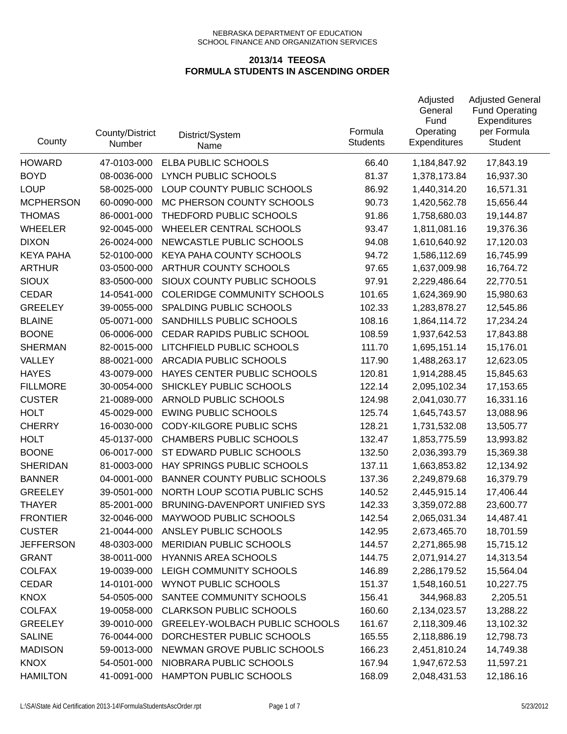| County           | County/District<br>Number | District/System<br>Name               | Formula<br><b>Students</b> | Adjusted<br>General<br>Fund<br>Operating<br>Expenditures | <b>Adjusted General</b><br><b>Fund Operating</b><br>Expenditures<br>per Formula<br><b>Student</b> |
|------------------|---------------------------|---------------------------------------|----------------------------|----------------------------------------------------------|---------------------------------------------------------------------------------------------------|
| <b>HOWARD</b>    | 47-0103-000               | ELBA PUBLIC SCHOOLS                   | 66.40                      | 1,184,847.92                                             | 17,843.19                                                                                         |
| <b>BOYD</b>      | 08-0036-000               | LYNCH PUBLIC SCHOOLS                  | 81.37                      | 1,378,173.84                                             | 16,937.30                                                                                         |
| <b>LOUP</b>      | 58-0025-000               | LOUP COUNTY PUBLIC SCHOOLS            | 86.92                      | 1,440,314.20                                             | 16,571.31                                                                                         |
| <b>MCPHERSON</b> | 60-0090-000               | MC PHERSON COUNTY SCHOOLS             | 90.73                      | 1,420,562.78                                             | 15,656.44                                                                                         |
| <b>THOMAS</b>    | 86-0001-000               | THEDFORD PUBLIC SCHOOLS               | 91.86                      | 1,758,680.03                                             | 19,144.87                                                                                         |
| <b>WHEELER</b>   | 92-0045-000               | <b>WHEELER CENTRAL SCHOOLS</b>        | 93.47                      | 1,811,081.16                                             | 19,376.36                                                                                         |
| <b>DIXON</b>     | 26-0024-000               | NEWCASTLE PUBLIC SCHOOLS              | 94.08                      | 1,610,640.92                                             | 17,120.03                                                                                         |
| <b>KEYA PAHA</b> | 52-0100-000               | KEYA PAHA COUNTY SCHOOLS              | 94.72                      | 1,586,112.69                                             | 16,745.99                                                                                         |
| <b>ARTHUR</b>    | 03-0500-000               | ARTHUR COUNTY SCHOOLS                 | 97.65                      | 1,637,009.98                                             | 16,764.72                                                                                         |
| <b>SIOUX</b>     | 83-0500-000               | SIOUX COUNTY PUBLIC SCHOOLS           | 97.91                      | 2,229,486.64                                             | 22,770.51                                                                                         |
| <b>CEDAR</b>     | 14-0541-000               | <b>COLERIDGE COMMUNITY SCHOOLS</b>    | 101.65                     | 1,624,369.90                                             | 15,980.63                                                                                         |
| <b>GREELEY</b>   | 39-0055-000               | SPALDING PUBLIC SCHOOLS               | 102.33                     | 1,283,878.27                                             | 12,545.86                                                                                         |
| <b>BLAINE</b>    | 05-0071-000               | SANDHILLS PUBLIC SCHOOLS              | 108.16                     | 1,864,114.72                                             | 17,234.24                                                                                         |
| <b>BOONE</b>     | 06-0006-000               | CEDAR RAPIDS PUBLIC SCHOOL            | 108.59                     | 1,937,642.53                                             | 17,843.88                                                                                         |
| <b>SHERMAN</b>   | 82-0015-000               | LITCHFIELD PUBLIC SCHOOLS             | 111.70                     | 1,695,151.14                                             | 15,176.01                                                                                         |
| VALLEY           | 88-0021-000               | ARCADIA PUBLIC SCHOOLS                | 117.90                     | 1,488,263.17                                             | 12,623.05                                                                                         |
| <b>HAYES</b>     | 43-0079-000               | HAYES CENTER PUBLIC SCHOOLS           | 120.81                     | 1,914,288.45                                             | 15,845.63                                                                                         |
| <b>FILLMORE</b>  | 30-0054-000               | SHICKLEY PUBLIC SCHOOLS               | 122.14                     | 2,095,102.34                                             | 17,153.65                                                                                         |
| <b>CUSTER</b>    | 21-0089-000               | ARNOLD PUBLIC SCHOOLS                 | 124.98                     | 2,041,030.77                                             | 16,331.16                                                                                         |
| <b>HOLT</b>      | 45-0029-000               | <b>EWING PUBLIC SCHOOLS</b>           | 125.74                     | 1,645,743.57                                             | 13,088.96                                                                                         |
| <b>CHERRY</b>    | 16-0030-000               | <b>CODY-KILGORE PUBLIC SCHS</b>       | 128.21                     | 1,731,532.08                                             | 13,505.77                                                                                         |
| <b>HOLT</b>      | 45-0137-000               | <b>CHAMBERS PUBLIC SCHOOLS</b>        | 132.47                     | 1,853,775.59                                             | 13,993.82                                                                                         |
| <b>BOONE</b>     | 06-0017-000               | ST EDWARD PUBLIC SCHOOLS              | 132.50                     | 2,036,393.79                                             | 15,369.38                                                                                         |
| <b>SHERIDAN</b>  | 81-0003-000               | HAY SPRINGS PUBLIC SCHOOLS            | 137.11                     | 1,663,853.82                                             | 12,134.92                                                                                         |
| <b>BANNER</b>    | 04-0001-000               | <b>BANNER COUNTY PUBLIC SCHOOLS</b>   | 137.36                     | 2,249,879.68                                             | 16,379.79                                                                                         |
| <b>GREELEY</b>   | 39-0501-000               | NORTH LOUP SCOTIA PUBLIC SCHS         | 140.52                     | 2,445,915.14                                             | 17,406.44                                                                                         |
| <b>THAYER</b>    | 85-2001-000               | BRUNING-DAVENPORT UNIFIED SYS         | 142.33                     | 3,359,072.88                                             | 23,600.77                                                                                         |
| <b>FRONTIER</b>  | 32-0046-000               | MAYWOOD PUBLIC SCHOOLS                | 142.54                     | 2,065,031.34                                             | 14,487.41                                                                                         |
| <b>CUSTER</b>    | 21-0044-000               | ANSLEY PUBLIC SCHOOLS                 | 142.95                     | 2,673,465.70                                             | 18,701.59                                                                                         |
| <b>JEFFERSON</b> | 48-0303-000               | MERIDIAN PUBLIC SCHOOLS               | 144.57                     | 2,271,865.98                                             | 15,715.12                                                                                         |
| <b>GRANT</b>     | 38-0011-000               | <b>HYANNIS AREA SCHOOLS</b>           | 144.75                     | 2,071,914.27                                             | 14,313.54                                                                                         |
| <b>COLFAX</b>    | 19-0039-000               | LEIGH COMMUNITY SCHOOLS               | 146.89                     | 2,286,179.52                                             | 15,564.04                                                                                         |
| <b>CEDAR</b>     | 14-0101-000               | <b>WYNOT PUBLIC SCHOOLS</b>           | 151.37                     | 1,548,160.51                                             | 10,227.75                                                                                         |
| <b>KNOX</b>      | 54-0505-000               | SANTEE COMMUNITY SCHOOLS              | 156.41                     | 344,968.83                                               | 2,205.51                                                                                          |
| <b>COLFAX</b>    | 19-0058-000               | <b>CLARKSON PUBLIC SCHOOLS</b>        | 160.60                     | 2,134,023.57                                             | 13,288.22                                                                                         |
| <b>GREELEY</b>   | 39-0010-000               | <b>GREELEY-WOLBACH PUBLIC SCHOOLS</b> | 161.67                     | 2,118,309.46                                             | 13,102.32                                                                                         |
| <b>SALINE</b>    | 76-0044-000               | DORCHESTER PUBLIC SCHOOLS             | 165.55                     | 2,118,886.19                                             | 12,798.73                                                                                         |
| <b>MADISON</b>   | 59-0013-000               | NEWMAN GROVE PUBLIC SCHOOLS           | 166.23                     | 2,451,810.24                                             | 14,749.38                                                                                         |
| <b>KNOX</b>      | 54-0501-000               | NIOBRARA PUBLIC SCHOOLS               | 167.94                     | 1,947,672.53                                             | 11,597.21                                                                                         |
| <b>HAMILTON</b>  | 41-0091-000               | HAMPTON PUBLIC SCHOOLS                | 168.09                     | 2,048,431.53                                             | 12,186.16                                                                                         |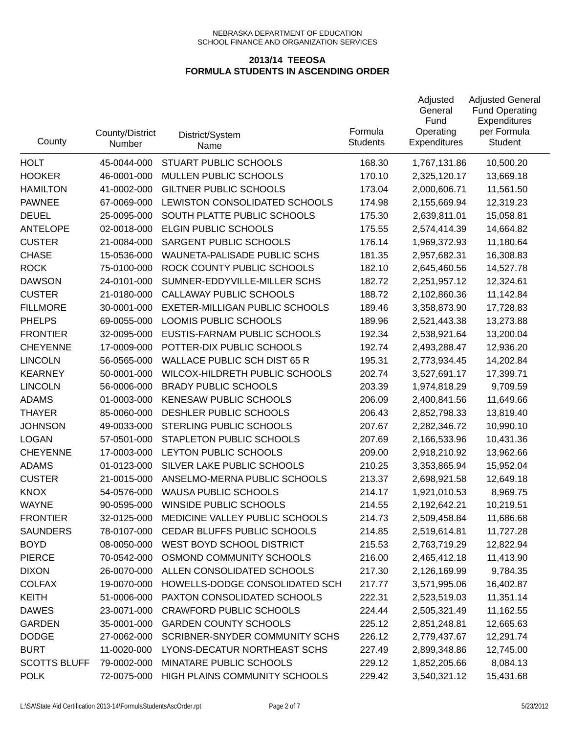| County              | County/District<br>Number | District/System<br>Name             | Formula<br><b>Students</b> | Adjusted<br>General<br>Fund<br>Operating<br>Expenditures | <b>Adjusted General</b><br><b>Fund Operating</b><br>Expenditures<br>per Formula<br><b>Student</b> |
|---------------------|---------------------------|-------------------------------------|----------------------------|----------------------------------------------------------|---------------------------------------------------------------------------------------------------|
| <b>HOLT</b>         | 45-0044-000               | STUART PUBLIC SCHOOLS               | 168.30                     | 1,767,131.86                                             | 10,500.20                                                                                         |
| <b>HOOKER</b>       | 46-0001-000               | MULLEN PUBLIC SCHOOLS               | 170.10                     | 2,325,120.17                                             | 13,669.18                                                                                         |
| <b>HAMILTON</b>     | 41-0002-000               | <b>GILTNER PUBLIC SCHOOLS</b>       | 173.04                     | 2,000,606.71                                             | 11,561.50                                                                                         |
| <b>PAWNEE</b>       | 67-0069-000               | LEWISTON CONSOLIDATED SCHOOLS       | 174.98                     | 2,155,669.94                                             | 12,319.23                                                                                         |
| <b>DEUEL</b>        | 25-0095-000               | SOUTH PLATTE PUBLIC SCHOOLS         | 175.30                     | 2,639,811.01                                             | 15,058.81                                                                                         |
| <b>ANTELOPE</b>     | 02-0018-000               | <b>ELGIN PUBLIC SCHOOLS</b>         | 175.55                     | 2,574,414.39                                             | 14,664.82                                                                                         |
| <b>CUSTER</b>       | 21-0084-000               | SARGENT PUBLIC SCHOOLS              | 176.14                     | 1,969,372.93                                             | 11,180.64                                                                                         |
| <b>CHASE</b>        | 15-0536-000               | WAUNETA-PALISADE PUBLIC SCHS        | 181.35                     | 2,957,682.31                                             | 16,308.83                                                                                         |
| <b>ROCK</b>         | 75-0100-000               | ROCK COUNTY PUBLIC SCHOOLS          | 182.10                     | 2,645,460.56                                             | 14,527.78                                                                                         |
| <b>DAWSON</b>       | 24-0101-000               | SUMNER-EDDYVILLE-MILLER SCHS        | 182.72                     | 2,251,957.12                                             | 12,324.61                                                                                         |
| <b>CUSTER</b>       | 21-0180-000               | CALLAWAY PUBLIC SCHOOLS             | 188.72                     | 2,102,860.36                                             | 11,142.84                                                                                         |
| <b>FILLMORE</b>     | 30-0001-000               | EXETER-MILLIGAN PUBLIC SCHOOLS      | 189.46                     | 3,358,873.90                                             | 17,728.83                                                                                         |
| <b>PHELPS</b>       | 69-0055-000               | LOOMIS PUBLIC SCHOOLS               | 189.96                     | 2,521,443.38                                             | 13,273.88                                                                                         |
| <b>FRONTIER</b>     | 32-0095-000               | EUSTIS-FARNAM PUBLIC SCHOOLS        | 192.34                     | 2,538,921.64                                             | 13,200.04                                                                                         |
| <b>CHEYENNE</b>     | 17-0009-000               | POTTER-DIX PUBLIC SCHOOLS           | 192.74                     | 2,493,288.47                                             | 12,936.20                                                                                         |
| <b>LINCOLN</b>      | 56-0565-000               | <b>WALLACE PUBLIC SCH DIST 65 R</b> | 195.31                     | 2,773,934.45                                             | 14,202.84                                                                                         |
| <b>KEARNEY</b>      | 50-0001-000               | WILCOX-HILDRETH PUBLIC SCHOOLS      | 202.74                     | 3,527,691.17                                             | 17,399.71                                                                                         |
| <b>LINCOLN</b>      | 56-0006-000               | <b>BRADY PUBLIC SCHOOLS</b>         | 203.39                     | 1,974,818.29                                             | 9,709.59                                                                                          |
| <b>ADAMS</b>        | 01-0003-000               | KENESAW PUBLIC SCHOOLS              | 206.09                     | 2,400,841.56                                             | 11,649.66                                                                                         |
| <b>THAYER</b>       | 85-0060-000               | DESHLER PUBLIC SCHOOLS              | 206.43                     | 2,852,798.33                                             | 13,819.40                                                                                         |
| <b>JOHNSON</b>      | 49-0033-000               | STERLING PUBLIC SCHOOLS             | 207.67                     | 2,282,346.72                                             | 10,990.10                                                                                         |
| <b>LOGAN</b>        | 57-0501-000               | STAPLETON PUBLIC SCHOOLS            | 207.69                     | 2,166,533.96                                             | 10,431.36                                                                                         |
| <b>CHEYENNE</b>     | 17-0003-000               | LEYTON PUBLIC SCHOOLS               | 209.00                     | 2,918,210.92                                             | 13,962.66                                                                                         |
| <b>ADAMS</b>        | 01-0123-000               | SILVER LAKE PUBLIC SCHOOLS          | 210.25                     | 3,353,865.94                                             | 15,952.04                                                                                         |
| <b>CUSTER</b>       | 21-0015-000               | ANSELMO-MERNA PUBLIC SCHOOLS        | 213.37                     | 2,698,921.58                                             | 12,649.18                                                                                         |
| <b>KNOX</b>         | 54-0576-000               | <b>WAUSA PUBLIC SCHOOLS</b>         | 214.17                     | 1,921,010.53                                             | 8,969.75                                                                                          |
| <b>WAYNE</b>        | 90-0595-000               | <b>WINSIDE PUBLIC SCHOOLS</b>       | 214.55                     | 2,192,642.21                                             | 10,219.51                                                                                         |
| <b>FRONTIER</b>     | 32-0125-000               | MEDICINE VALLEY PUBLIC SCHOOLS      | 214.73                     | 2,509,458.84                                             | 11,686.68                                                                                         |
| <b>SAUNDERS</b>     | 78-0107-000               | CEDAR BLUFFS PUBLIC SCHOOLS         | 214.85                     | 2,519,614.81                                             | 11,727.28                                                                                         |
| <b>BOYD</b>         | 08-0050-000               | WEST BOYD SCHOOL DISTRICT           | 215.53                     | 2,763,719.29                                             | 12,822.94                                                                                         |
| <b>PIERCE</b>       | 70-0542-000               | OSMOND COMMUNITY SCHOOLS            | 216.00                     | 2,465,412.18                                             | 11,413.90                                                                                         |
| <b>DIXON</b>        | 26-0070-000               | ALLEN CONSOLIDATED SCHOOLS          | 217.30                     | 2,126,169.99                                             | 9,784.35                                                                                          |
| <b>COLFAX</b>       | 19-0070-000               | HOWELLS-DODGE CONSOLIDATED SCH      | 217.77                     | 3,571,995.06                                             | 16,402.87                                                                                         |
| <b>KEITH</b>        | 51-0006-000               | PAXTON CONSOLIDATED SCHOOLS         | 222.31                     | 2,523,519.03                                             | 11,351.14                                                                                         |
| <b>DAWES</b>        | 23-0071-000               | <b>CRAWFORD PUBLIC SCHOOLS</b>      | 224.44                     | 2,505,321.49                                             | 11,162.55                                                                                         |
| <b>GARDEN</b>       | 35-0001-000               | <b>GARDEN COUNTY SCHOOLS</b>        | 225.12                     | 2,851,248.81                                             | 12,665.63                                                                                         |
| <b>DODGE</b>        | 27-0062-000               | SCRIBNER-SNYDER COMMUNITY SCHS      | 226.12                     | 2,779,437.67                                             | 12,291.74                                                                                         |
| <b>BURT</b>         | 11-0020-000               | LYONS-DECATUR NORTHEAST SCHS        | 227.49                     | 2,899,348.86                                             | 12,745.00                                                                                         |
| <b>SCOTTS BLUFF</b> | 79-0002-000               | MINATARE PUBLIC SCHOOLS             | 229.12                     | 1,852,205.66                                             | 8,084.13                                                                                          |
| <b>POLK</b>         | 72-0075-000               | HIGH PLAINS COMMUNITY SCHOOLS       | 229.42                     | 3,540,321.12                                             | 15,431.68                                                                                         |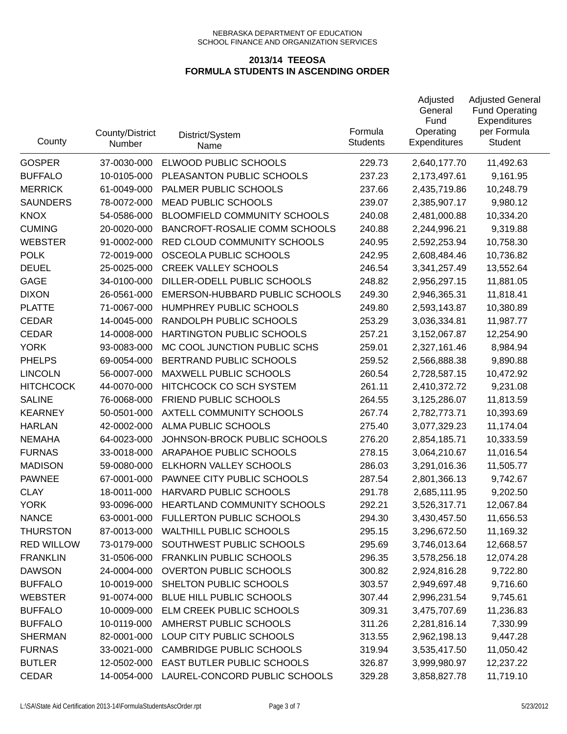| County            | County/District<br>Number | District/System<br>Name             | Formula<br><b>Students</b> | Adjusted<br>General<br>Fund<br>Operating<br>Expenditures | <b>Adjusted General</b><br><b>Fund Operating</b><br>Expenditures<br>per Formula<br><b>Student</b> |
|-------------------|---------------------------|-------------------------------------|----------------------------|----------------------------------------------------------|---------------------------------------------------------------------------------------------------|
| <b>GOSPER</b>     | 37-0030-000               | ELWOOD PUBLIC SCHOOLS               | 229.73                     | 2,640,177.70                                             | 11,492.63                                                                                         |
| <b>BUFFALO</b>    | 10-0105-000               | PLEASANTON PUBLIC SCHOOLS           | 237.23                     | 2,173,497.61                                             | 9,161.95                                                                                          |
| <b>MERRICK</b>    | 61-0049-000               | PALMER PUBLIC SCHOOLS               | 237.66                     | 2,435,719.86                                             | 10,248.79                                                                                         |
| <b>SAUNDERS</b>   | 78-0072-000               | <b>MEAD PUBLIC SCHOOLS</b>          | 239.07                     | 2,385,907.17                                             | 9,980.12                                                                                          |
| <b>KNOX</b>       | 54-0586-000               | <b>BLOOMFIELD COMMUNITY SCHOOLS</b> | 240.08                     | 2,481,000.88                                             | 10,334.20                                                                                         |
| <b>CUMING</b>     | 20-0020-000               | BANCROFT-ROSALIE COMM SCHOOLS       | 240.88                     | 2,244,996.21                                             | 9,319.88                                                                                          |
| <b>WEBSTER</b>    | 91-0002-000               | RED CLOUD COMMUNITY SCHOOLS         | 240.95                     | 2,592,253.94                                             | 10,758.30                                                                                         |
| <b>POLK</b>       | 72-0019-000               | OSCEOLA PUBLIC SCHOOLS              | 242.95                     | 2,608,484.46                                             | 10,736.82                                                                                         |
| <b>DEUEL</b>      | 25-0025-000               | <b>CREEK VALLEY SCHOOLS</b>         | 246.54                     | 3,341,257.49                                             | 13,552.64                                                                                         |
| <b>GAGE</b>       | 34-0100-000               | DILLER-ODELL PUBLIC SCHOOLS         | 248.82                     | 2,956,297.15                                             | 11,881.05                                                                                         |
| <b>DIXON</b>      | 26-0561-000               | EMERSON-HUBBARD PUBLIC SCHOOLS      | 249.30                     | 2,946,365.31                                             | 11,818.41                                                                                         |
| <b>PLATTE</b>     | 71-0067-000               | HUMPHREY PUBLIC SCHOOLS             | 249.80                     | 2,593,143.87                                             | 10,380.89                                                                                         |
| <b>CEDAR</b>      | 14-0045-000               | RANDOLPH PUBLIC SCHOOLS             | 253.29                     | 3,036,334.81                                             | 11,987.77                                                                                         |
| <b>CEDAR</b>      | 14-0008-000               | HARTINGTON PUBLIC SCHOOLS           | 257.21                     | 3,152,067.87                                             | 12,254.90                                                                                         |
| <b>YORK</b>       | 93-0083-000               | MC COOL JUNCTION PUBLIC SCHS        | 259.01                     | 2,327,161.46                                             | 8,984.94                                                                                          |
| <b>PHELPS</b>     | 69-0054-000               | BERTRAND PUBLIC SCHOOLS             | 259.52                     | 2,566,888.38                                             | 9,890.88                                                                                          |
| <b>LINCOLN</b>    | 56-0007-000               | <b>MAXWELL PUBLIC SCHOOLS</b>       | 260.54                     | 2,728,587.15                                             | 10,472.92                                                                                         |
| <b>HITCHCOCK</b>  | 44-0070-000               | HITCHCOCK CO SCH SYSTEM             | 261.11                     | 2,410,372.72                                             | 9,231.08                                                                                          |
| <b>SALINE</b>     | 76-0068-000               | FRIEND PUBLIC SCHOOLS               | 264.55                     | 3,125,286.07                                             | 11,813.59                                                                                         |
| <b>KEARNEY</b>    | 50-0501-000               | AXTELL COMMUNITY SCHOOLS            | 267.74                     | 2,782,773.71                                             | 10,393.69                                                                                         |
| <b>HARLAN</b>     | 42-0002-000               | ALMA PUBLIC SCHOOLS                 | 275.40                     | 3,077,329.23                                             | 11,174.04                                                                                         |
| <b>NEMAHA</b>     | 64-0023-000               | JOHNSON-BROCK PUBLIC SCHOOLS        | 276.20                     | 2,854,185.71                                             | 10,333.59                                                                                         |
| <b>FURNAS</b>     | 33-0018-000               | ARAPAHOE PUBLIC SCHOOLS             | 278.15                     | 3,064,210.67                                             | 11,016.54                                                                                         |
| <b>MADISON</b>    | 59-0080-000               | ELKHORN VALLEY SCHOOLS              | 286.03                     | 3,291,016.36                                             | 11,505.77                                                                                         |
| <b>PAWNEE</b>     | 67-0001-000               | PAWNEE CITY PUBLIC SCHOOLS          | 287.54                     | 2,801,366.13                                             | 9,742.67                                                                                          |
| <b>CLAY</b>       | 18-0011-000               | HARVARD PUBLIC SCHOOLS              | 291.78                     | 2,685,111.95                                             | 9,202.50                                                                                          |
| <b>YORK</b>       | 93-0096-000               | HEARTLAND COMMUNITY SCHOOLS         | 292.21                     | 3,526,317.71                                             | 12,067.84                                                                                         |
| <b>NANCE</b>      | 63-0001-000               | <b>FULLERTON PUBLIC SCHOOLS</b>     | 294.30                     | 3,430,457.50                                             | 11,656.53                                                                                         |
| <b>THURSTON</b>   | 87-0013-000               | WALTHILL PUBLIC SCHOOLS             | 295.15                     | 3,296,672.50                                             | 11,169.32                                                                                         |
| <b>RED WILLOW</b> | 73-0179-000               | SOUTHWEST PUBLIC SCHOOLS            | 295.69                     | 3,746,013.64                                             | 12,668.57                                                                                         |
| <b>FRANKLIN</b>   | 31-0506-000               | <b>FRANKLIN PUBLIC SCHOOLS</b>      | 296.35                     | 3,578,256.18                                             | 12,074.28                                                                                         |
| <b>DAWSON</b>     | 24-0004-000               | <b>OVERTON PUBLIC SCHOOLS</b>       | 300.82                     | 2,924,816.28                                             | 9,722.80                                                                                          |
| <b>BUFFALO</b>    | 10-0019-000               | SHELTON PUBLIC SCHOOLS              | 303.57                     | 2,949,697.48                                             | 9,716.60                                                                                          |
| <b>WEBSTER</b>    | 91-0074-000               | BLUE HILL PUBLIC SCHOOLS            | 307.44                     | 2,996,231.54                                             | 9,745.61                                                                                          |
| <b>BUFFALO</b>    | 10-0009-000               | ELM CREEK PUBLIC SCHOOLS            | 309.31                     | 3,475,707.69                                             | 11,236.83                                                                                         |
| <b>BUFFALO</b>    | 10-0119-000               | AMHERST PUBLIC SCHOOLS              | 311.26                     | 2,281,816.14                                             | 7,330.99                                                                                          |
| <b>SHERMAN</b>    | 82-0001-000               | LOUP CITY PUBLIC SCHOOLS            | 313.55                     | 2,962,198.13                                             | 9,447.28                                                                                          |
| <b>FURNAS</b>     | 33-0021-000               | <b>CAMBRIDGE PUBLIC SCHOOLS</b>     | 319.94                     | 3,535,417.50                                             | 11,050.42                                                                                         |
| <b>BUTLER</b>     | 12-0502-000               | EAST BUTLER PUBLIC SCHOOLS          | 326.87                     | 3,999,980.97                                             | 12,237.22                                                                                         |
| CEDAR             | 14-0054-000               | LAUREL-CONCORD PUBLIC SCHOOLS       | 329.28                     | 3,858,827.78                                             | 11,719.10                                                                                         |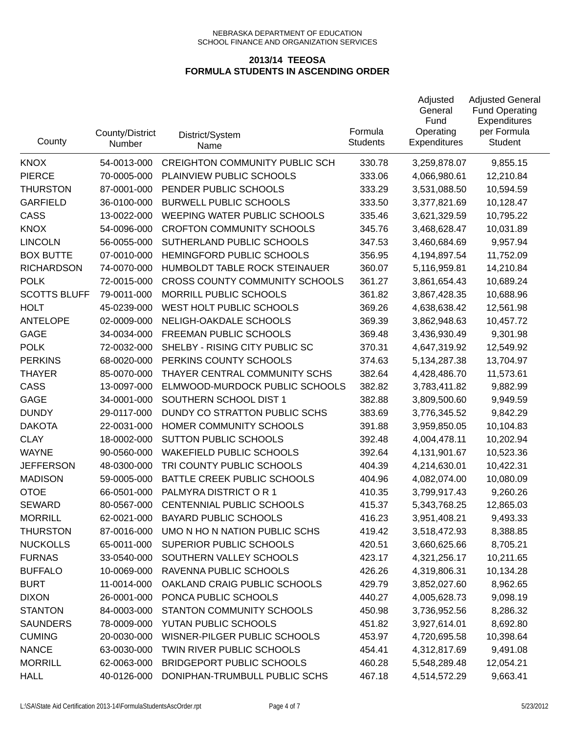| County              | County/District<br>Number | District/System<br>Name               | Formula<br><b>Students</b> | Adjusted<br>General<br>Fund<br>Operating<br><b>Expenditures</b> | <b>Adjusted General</b><br><b>Fund Operating</b><br>Expenditures<br>per Formula<br><b>Student</b> |
|---------------------|---------------------------|---------------------------------------|----------------------------|-----------------------------------------------------------------|---------------------------------------------------------------------------------------------------|
| <b>KNOX</b>         | 54-0013-000               | <b>CREIGHTON COMMUNITY PUBLIC SCH</b> | 330.78                     | 3,259,878.07                                                    | 9,855.15                                                                                          |
| <b>PIERCE</b>       | 70-0005-000               | PLAINVIEW PUBLIC SCHOOLS              | 333.06                     | 4,066,980.61                                                    | 12,210.84                                                                                         |
| <b>THURSTON</b>     | 87-0001-000               | PENDER PUBLIC SCHOOLS                 | 333.29                     | 3,531,088.50                                                    | 10,594.59                                                                                         |
| <b>GARFIELD</b>     | 36-0100-000               | <b>BURWELL PUBLIC SCHOOLS</b>         | 333.50                     | 3,377,821.69                                                    | 10,128.47                                                                                         |
| CASS                | 13-0022-000               | WEEPING WATER PUBLIC SCHOOLS          | 335.46                     | 3,621,329.59                                                    | 10,795.22                                                                                         |
| <b>KNOX</b>         | 54-0096-000               | <b>CROFTON COMMUNITY SCHOOLS</b>      | 345.76                     | 3,468,628.47                                                    | 10,031.89                                                                                         |
| <b>LINCOLN</b>      | 56-0055-000               | SUTHERLAND PUBLIC SCHOOLS             | 347.53                     | 3,460,684.69                                                    | 9,957.94                                                                                          |
| <b>BOX BUTTE</b>    | 07-0010-000               | HEMINGFORD PUBLIC SCHOOLS             | 356.95                     | 4,194,897.54                                                    | 11,752.09                                                                                         |
| <b>RICHARDSON</b>   | 74-0070-000               | HUMBOLDT TABLE ROCK STEINAUER         | 360.07                     | 5,116,959.81                                                    | 14,210.84                                                                                         |
| <b>POLK</b>         | 72-0015-000               | <b>CROSS COUNTY COMMUNITY SCHOOLS</b> | 361.27                     | 3,861,654.43                                                    | 10,689.24                                                                                         |
| <b>SCOTTS BLUFF</b> | 79-0011-000               | MORRILL PUBLIC SCHOOLS                | 361.82                     | 3,867,428.35                                                    | 10,688.96                                                                                         |
| <b>HOLT</b>         | 45-0239-000               | WEST HOLT PUBLIC SCHOOLS              | 369.26                     | 4,638,638.42                                                    | 12,561.98                                                                                         |
| <b>ANTELOPE</b>     | 02-0009-000               | NELIGH-OAKDALE SCHOOLS                | 369.39                     | 3,862,948.63                                                    | 10,457.72                                                                                         |
| <b>GAGE</b>         | 34-0034-000               | FREEMAN PUBLIC SCHOOLS                | 369.48                     | 3,436,930.49                                                    | 9,301.98                                                                                          |
| <b>POLK</b>         | 72-0032-000               | SHELBY - RISING CITY PUBLIC SC        | 370.31                     | 4,647,319.92                                                    | 12,549.92                                                                                         |
| <b>PERKINS</b>      | 68-0020-000               | PERKINS COUNTY SCHOOLS                | 374.63                     | 5,134,287.38                                                    | 13,704.97                                                                                         |
| <b>THAYER</b>       | 85-0070-000               | THAYER CENTRAL COMMUNITY SCHS         | 382.64                     | 4,428,486.70                                                    | 11,573.61                                                                                         |
| CASS                | 13-0097-000               | ELMWOOD-MURDOCK PUBLIC SCHOOLS        | 382.82                     | 3,783,411.82                                                    | 9,882.99                                                                                          |
| <b>GAGE</b>         | 34-0001-000               | SOUTHERN SCHOOL DIST 1                | 382.88                     | 3,809,500.60                                                    | 9,949.59                                                                                          |
| <b>DUNDY</b>        | 29-0117-000               | DUNDY CO STRATTON PUBLIC SCHS         | 383.69                     | 3,776,345.52                                                    | 9,842.29                                                                                          |
| <b>DAKOTA</b>       | 22-0031-000               | HOMER COMMUNITY SCHOOLS               | 391.88                     | 3,959,850.05                                                    | 10,104.83                                                                                         |
| <b>CLAY</b>         | 18-0002-000               | <b>SUTTON PUBLIC SCHOOLS</b>          | 392.48                     | 4,004,478.11                                                    | 10,202.94                                                                                         |
| <b>WAYNE</b>        | 90-0560-000               | <b>WAKEFIELD PUBLIC SCHOOLS</b>       | 392.64                     | 4,131,901.67                                                    | 10,523.36                                                                                         |
| <b>JEFFERSON</b>    | 48-0300-000               | TRI COUNTY PUBLIC SCHOOLS             | 404.39                     | 4,214,630.01                                                    | 10,422.31                                                                                         |
| <b>MADISON</b>      | 59-0005-000               | BATTLE CREEK PUBLIC SCHOOLS           | 404.96                     | 4,082,074.00                                                    | 10,080.09                                                                                         |
| <b>OTOE</b>         | 66-0501-000               | PALMYRA DISTRICT OR 1                 | 410.35                     | 3,799,917.43                                                    | 9,260.26                                                                                          |
| <b>SEWARD</b>       | 80-0567-000               | CENTENNIAL PUBLIC SCHOOLS             | 415.37                     | 5,343,768.25                                                    | 12,865.03                                                                                         |
| <b>MORRILL</b>      | 62-0021-000               | <b>BAYARD PUBLIC SCHOOLS</b>          | 416.23                     | 3,951,408.21                                                    | 9,493.33                                                                                          |
| <b>THURSTON</b>     | 87-0016-000               | UMO N HO N NATION PUBLIC SCHS         | 419.42                     | 3,518,472.93                                                    | 8,388.85                                                                                          |
| <b>NUCKOLLS</b>     | 65-0011-000               | SUPERIOR PUBLIC SCHOOLS               | 420.51                     | 3,660,625.66                                                    | 8,705.21                                                                                          |
| <b>FURNAS</b>       | 33-0540-000               | SOUTHERN VALLEY SCHOOLS               | 423.17                     | 4,321,256.17                                                    | 10,211.65                                                                                         |
| <b>BUFFALO</b>      | 10-0069-000               | RAVENNA PUBLIC SCHOOLS                | 426.26                     | 4,319,806.31                                                    | 10,134.28                                                                                         |
| <b>BURT</b>         | 11-0014-000               | OAKLAND CRAIG PUBLIC SCHOOLS          | 429.79                     | 3,852,027.60                                                    | 8,962.65                                                                                          |
| <b>DIXON</b>        | 26-0001-000               | PONCA PUBLIC SCHOOLS                  | 440.27                     | 4,005,628.73                                                    | 9,098.19                                                                                          |
| <b>STANTON</b>      | 84-0003-000               | STANTON COMMUNITY SCHOOLS             | 450.98                     | 3,736,952.56                                                    | 8,286.32                                                                                          |
| <b>SAUNDERS</b>     | 78-0009-000               | YUTAN PUBLIC SCHOOLS                  | 451.82                     | 3,927,614.01                                                    | 8,692.80                                                                                          |
| <b>CUMING</b>       | 20-0030-000               | WISNER-PILGER PUBLIC SCHOOLS          | 453.97                     | 4,720,695.58                                                    | 10,398.64                                                                                         |
| <b>NANCE</b>        | 63-0030-000               | TWIN RIVER PUBLIC SCHOOLS             | 454.41                     | 4,312,817.69                                                    | 9,491.08                                                                                          |
| <b>MORRILL</b>      | 62-0063-000               | BRIDGEPORT PUBLIC SCHOOLS             | 460.28                     | 5,548,289.48                                                    | 12,054.21                                                                                         |
| <b>HALL</b>         | 40-0126-000               | DONIPHAN-TRUMBULL PUBLIC SCHS         | 467.18                     | 4,514,572.29                                                    | 9,663.41                                                                                          |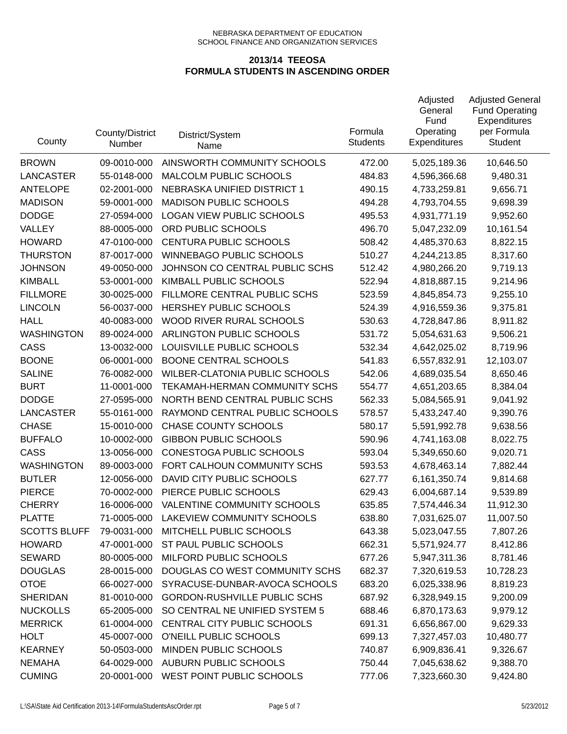| County              | County/District<br>Number | District/System<br>Name             | Formula<br><b>Students</b> | Adjusted<br>General<br>Fund<br>Operating<br><b>Expenditures</b> | <b>Adjusted General</b><br><b>Fund Operating</b><br>Expenditures<br>per Formula<br><b>Student</b> |
|---------------------|---------------------------|-------------------------------------|----------------------------|-----------------------------------------------------------------|---------------------------------------------------------------------------------------------------|
| <b>BROWN</b>        | 09-0010-000               | AINSWORTH COMMUNITY SCHOOLS         | 472.00                     | 5,025,189.36                                                    | 10,646.50                                                                                         |
| <b>LANCASTER</b>    | 55-0148-000               | MALCOLM PUBLIC SCHOOLS              | 484.83                     | 4,596,366.68                                                    | 9,480.31                                                                                          |
| <b>ANTELOPE</b>     | 02-2001-000               | NEBRASKA UNIFIED DISTRICT 1         | 490.15                     | 4,733,259.81                                                    | 9,656.71                                                                                          |
| <b>MADISON</b>      | 59-0001-000               | <b>MADISON PUBLIC SCHOOLS</b>       | 494.28                     | 4,793,704.55                                                    | 9,698.39                                                                                          |
| <b>DODGE</b>        | 27-0594-000               | <b>LOGAN VIEW PUBLIC SCHOOLS</b>    | 495.53                     | 4,931,771.19                                                    | 9,952.60                                                                                          |
| VALLEY              | 88-0005-000               | ORD PUBLIC SCHOOLS                  | 496.70                     | 5,047,232.09                                                    | 10,161.54                                                                                         |
| <b>HOWARD</b>       | 47-0100-000               | CENTURA PUBLIC SCHOOLS              | 508.42                     | 4,485,370.63                                                    | 8,822.15                                                                                          |
| <b>THURSTON</b>     | 87-0017-000               | <b>WINNEBAGO PUBLIC SCHOOLS</b>     | 510.27                     | 4,244,213.85                                                    | 8,317.60                                                                                          |
| <b>JOHNSON</b>      | 49-0050-000               | JOHNSON CO CENTRAL PUBLIC SCHS      | 512.42                     | 4,980,266.20                                                    | 9,719.13                                                                                          |
| <b>KIMBALL</b>      | 53-0001-000               | KIMBALL PUBLIC SCHOOLS              | 522.94                     | 4,818,887.15                                                    | 9,214.96                                                                                          |
| <b>FILLMORE</b>     | 30-0025-000               | FILLMORE CENTRAL PUBLIC SCHS        | 523.59                     | 4,845,854.73                                                    | 9,255.10                                                                                          |
| <b>LINCOLN</b>      | 56-0037-000               | HERSHEY PUBLIC SCHOOLS              | 524.39                     | 4,916,559.36                                                    | 9,375.81                                                                                          |
| <b>HALL</b>         | 40-0083-000               | WOOD RIVER RURAL SCHOOLS            | 530.63                     | 4,728,847.86                                                    | 8,911.82                                                                                          |
| <b>WASHINGTON</b>   | 89-0024-000               | ARLINGTON PUBLIC SCHOOLS            | 531.72                     | 5,054,631.63                                                    | 9,506.21                                                                                          |
| CASS                | 13-0032-000               | LOUISVILLE PUBLIC SCHOOLS           | 532.34                     | 4,642,025.02                                                    | 8,719.96                                                                                          |
| <b>BOONE</b>        | 06-0001-000               | <b>BOONE CENTRAL SCHOOLS</b>        | 541.83                     | 6,557,832.91                                                    | 12,103.07                                                                                         |
| <b>SALINE</b>       | 76-0082-000               | WILBER-CLATONIA PUBLIC SCHOOLS      | 542.06                     | 4,689,035.54                                                    | 8,650.46                                                                                          |
| <b>BURT</b>         | 11-0001-000               | TEKAMAH-HERMAN COMMUNITY SCHS       | 554.77                     | 4,651,203.65                                                    | 8,384.04                                                                                          |
| <b>DODGE</b>        | 27-0595-000               | NORTH BEND CENTRAL PUBLIC SCHS      | 562.33                     | 5,084,565.91                                                    | 9,041.92                                                                                          |
| <b>LANCASTER</b>    | 55-0161-000               | RAYMOND CENTRAL PUBLIC SCHOOLS      | 578.57                     | 5,433,247.40                                                    | 9,390.76                                                                                          |
| <b>CHASE</b>        | 15-0010-000               | <b>CHASE COUNTY SCHOOLS</b>         | 580.17                     | 5,591,992.78                                                    | 9,638.56                                                                                          |
| <b>BUFFALO</b>      | 10-0002-000               | <b>GIBBON PUBLIC SCHOOLS</b>        | 590.96                     | 4,741,163.08                                                    | 8,022.75                                                                                          |
| CASS                | 13-0056-000               | CONESTOGA PUBLIC SCHOOLS            | 593.04                     | 5,349,650.60                                                    | 9,020.71                                                                                          |
| <b>WASHINGTON</b>   | 89-0003-000               | FORT CALHOUN COMMUNITY SCHS         | 593.53                     | 4,678,463.14                                                    | 7,882.44                                                                                          |
| <b>BUTLER</b>       | 12-0056-000               | DAVID CITY PUBLIC SCHOOLS           | 627.77                     | 6,161,350.74                                                    | 9,814.68                                                                                          |
| <b>PIERCE</b>       | 70-0002-000               | PIERCE PUBLIC SCHOOLS               | 629.43                     | 6,004,687.14                                                    | 9,539.89                                                                                          |
| <b>CHERRY</b>       | 16-0006-000               | VALENTINE COMMUNITY SCHOOLS         | 635.85                     | 7,574,446.34                                                    | 11,912.30                                                                                         |
| <b>PLATTE</b>       | 71-0005-000               | LAKEVIEW COMMUNITY SCHOOLS          | 638.80                     | 7,031,625.07                                                    | 11,007.50                                                                                         |
| <b>SCOTTS BLUFF</b> | 79-0031-000               | MITCHELL PUBLIC SCHOOLS             | 643.38                     | 5,023,047.55                                                    | 7,807.26                                                                                          |
| <b>HOWARD</b>       | 47-0001-000               | ST PAUL PUBLIC SCHOOLS              | 662.31                     | 5,571,924.77                                                    | 8,412.86                                                                                          |
| <b>SEWARD</b>       | 80-0005-000               | MILFORD PUBLIC SCHOOLS              | 677.26                     | 5,947,311.36                                                    | 8,781.46                                                                                          |
| <b>DOUGLAS</b>      | 28-0015-000               | DOUGLAS CO WEST COMMUNITY SCHS      | 682.37                     | 7,320,619.53                                                    | 10,728.23                                                                                         |
| <b>OTOE</b>         | 66-0027-000               | SYRACUSE-DUNBAR-AVOCA SCHOOLS       | 683.20                     | 6,025,338.96                                                    | 8,819.23                                                                                          |
| <b>SHERIDAN</b>     | 81-0010-000               | <b>GORDON-RUSHVILLE PUBLIC SCHS</b> | 687.92                     | 6,328,949.15                                                    | 9,200.09                                                                                          |
| <b>NUCKOLLS</b>     | 65-2005-000               | SO CENTRAL NE UNIFIED SYSTEM 5      | 688.46                     | 6,870,173.63                                                    | 9,979.12                                                                                          |
| <b>MERRICK</b>      | 61-0004-000               | CENTRAL CITY PUBLIC SCHOOLS         | 691.31                     | 6,656,867.00                                                    | 9,629.33                                                                                          |
| <b>HOLT</b>         | 45-0007-000               | O'NEILL PUBLIC SCHOOLS              | 699.13                     | 7,327,457.03                                                    | 10,480.77                                                                                         |
| <b>KEARNEY</b>      | 50-0503-000               | MINDEN PUBLIC SCHOOLS               | 740.87                     | 6,909,836.41                                                    | 9,326.67                                                                                          |
| <b>NEMAHA</b>       | 64-0029-000               | <b>AUBURN PUBLIC SCHOOLS</b>        | 750.44                     | 7,045,638.62                                                    | 9,388.70                                                                                          |
| <b>CUMING</b>       | 20-0001-000               | WEST POINT PUBLIC SCHOOLS           | 777.06                     | 7,323,660.30                                                    | 9,424.80                                                                                          |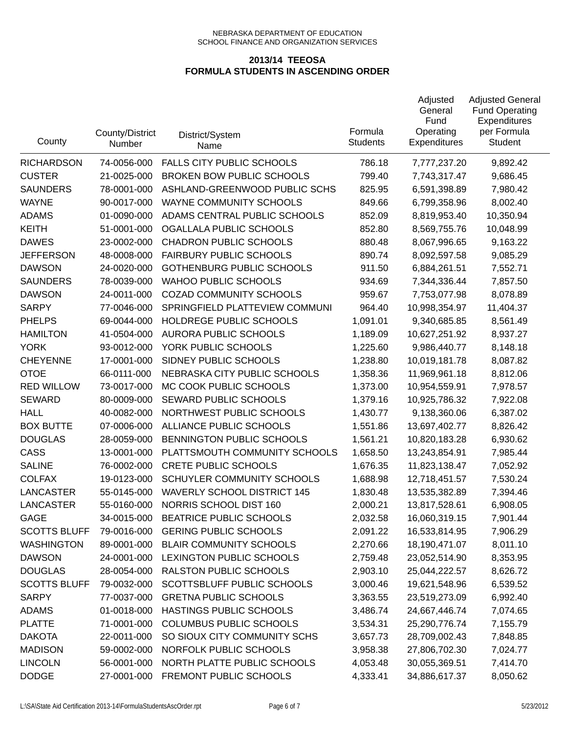| County              | County/District<br>Number | District/System<br>Name            | Formula<br><b>Students</b> | Adjusted<br>General<br>Fund<br>Operating<br>Expenditures | <b>Adjusted General</b><br><b>Fund Operating</b><br>Expenditures<br>per Formula<br><b>Student</b> |
|---------------------|---------------------------|------------------------------------|----------------------------|----------------------------------------------------------|---------------------------------------------------------------------------------------------------|
| <b>RICHARDSON</b>   | 74-0056-000               | <b>FALLS CITY PUBLIC SCHOOLS</b>   | 786.18                     | 7,777,237.20                                             | 9,892.42                                                                                          |
| <b>CUSTER</b>       | 21-0025-000               | <b>BROKEN BOW PUBLIC SCHOOLS</b>   | 799.40                     | 7,743,317.47                                             | 9,686.45                                                                                          |
| <b>SAUNDERS</b>     | 78-0001-000               | ASHLAND-GREENWOOD PUBLIC SCHS      | 825.95                     | 6,591,398.89                                             | 7,980.42                                                                                          |
| <b>WAYNE</b>        | 90-0017-000               | WAYNE COMMUNITY SCHOOLS            | 849.66                     | 6,799,358.96                                             | 8,002.40                                                                                          |
| <b>ADAMS</b>        | 01-0090-000               | ADAMS CENTRAL PUBLIC SCHOOLS       | 852.09                     | 8,819,953.40                                             | 10,350.94                                                                                         |
| <b>KEITH</b>        | 51-0001-000               | OGALLALA PUBLIC SCHOOLS            | 852.80                     | 8,569,755.76                                             | 10,048.99                                                                                         |
| <b>DAWES</b>        | 23-0002-000               | <b>CHADRON PUBLIC SCHOOLS</b>      | 880.48                     | 8,067,996.65                                             | 9,163.22                                                                                          |
| <b>JEFFERSON</b>    | 48-0008-000               | <b>FAIRBURY PUBLIC SCHOOLS</b>     | 890.74                     | 8,092,597.58                                             | 9,085.29                                                                                          |
| <b>DAWSON</b>       | 24-0020-000               | <b>GOTHENBURG PUBLIC SCHOOLS</b>   | 911.50                     | 6,884,261.51                                             | 7,552.71                                                                                          |
| <b>SAUNDERS</b>     | 78-0039-000               | <b>WAHOO PUBLIC SCHOOLS</b>        | 934.69                     | 7,344,336.44                                             | 7,857.50                                                                                          |
| <b>DAWSON</b>       | 24-0011-000               | <b>COZAD COMMUNITY SCHOOLS</b>     | 959.67                     | 7,753,077.98                                             | 8,078.89                                                                                          |
| <b>SARPY</b>        | 77-0046-000               | SPRINGFIELD PLATTEVIEW COMMUNI     | 964.40                     | 10,998,354.97                                            | 11,404.37                                                                                         |
| <b>PHELPS</b>       | 69-0044-000               | HOLDREGE PUBLIC SCHOOLS            | 1,091.01                   | 9,340,685.85                                             | 8,561.49                                                                                          |
| <b>HAMILTON</b>     | 41-0504-000               | AURORA PUBLIC SCHOOLS              | 1,189.09                   | 10,627,251.92                                            | 8,937.27                                                                                          |
| <b>YORK</b>         | 93-0012-000               | YORK PUBLIC SCHOOLS                | 1,225.60                   | 9,986,440.77                                             | 8,148.18                                                                                          |
| <b>CHEYENNE</b>     | 17-0001-000               | SIDNEY PUBLIC SCHOOLS              | 1,238.80                   | 10,019,181.78                                            | 8,087.82                                                                                          |
| <b>OTOE</b>         | 66-0111-000               | NEBRASKA CITY PUBLIC SCHOOLS       | 1,358.36                   | 11,969,961.18                                            | 8,812.06                                                                                          |
| <b>RED WILLOW</b>   | 73-0017-000               | MC COOK PUBLIC SCHOOLS             | 1,373.00                   | 10,954,559.91                                            | 7,978.57                                                                                          |
| <b>SEWARD</b>       | 80-0009-000               | SEWARD PUBLIC SCHOOLS              | 1,379.16                   | 10,925,786.32                                            | 7,922.08                                                                                          |
| <b>HALL</b>         | 40-0082-000               | NORTHWEST PUBLIC SCHOOLS           | 1,430.77                   | 9,138,360.06                                             | 6,387.02                                                                                          |
| <b>BOX BUTTE</b>    | 07-0006-000               | ALLIANCE PUBLIC SCHOOLS            | 1,551.86                   | 13,697,402.77                                            | 8,826.42                                                                                          |
| <b>DOUGLAS</b>      | 28-0059-000               | BENNINGTON PUBLIC SCHOOLS          | 1,561.21                   | 10,820,183.28                                            | 6,930.62                                                                                          |
| CASS                | 13-0001-000               | PLATTSMOUTH COMMUNITY SCHOOLS      | 1,658.50                   | 13,243,854.91                                            | 7,985.44                                                                                          |
| <b>SALINE</b>       | 76-0002-000               | <b>CRETE PUBLIC SCHOOLS</b>        | 1,676.35                   | 11,823,138.47                                            | 7,052.92                                                                                          |
| <b>COLFAX</b>       | 19-0123-000               | SCHUYLER COMMUNITY SCHOOLS         | 1,688.98                   | 12,718,451.57                                            | 7,530.24                                                                                          |
| <b>LANCASTER</b>    | 55-0145-000               | <b>WAVERLY SCHOOL DISTRICT 145</b> | 1,830.48                   | 13,535,382.89                                            | 7,394.46                                                                                          |
| <b>LANCASTER</b>    | 55-0160-000               | NORRIS SCHOOL DIST 160             | 2,000.21                   | 13,817,528.61                                            | 6,908.05                                                                                          |
| <b>GAGE</b>         | 34-0015-000               | BEATRICE PUBLIC SCHOOLS            | 2,032.58                   | 16,060,319.15                                            | 7,901.44                                                                                          |
| <b>SCOTTS BLUFF</b> | 79-0016-000               | <b>GERING PUBLIC SCHOOLS</b>       | 2,091.22                   | 16,533,814.95                                            | 7,906.29                                                                                          |
| <b>WASHINGTON</b>   | 89-0001-000               | <b>BLAIR COMMUNITY SCHOOLS</b>     | 2,270.66                   | 18,190,471.07                                            | 8,011.10                                                                                          |
| <b>DAWSON</b>       | 24-0001-000               | LEXINGTON PUBLIC SCHOOLS           | 2,759.48                   | 23,052,514.90                                            | 8,353.95                                                                                          |
| <b>DOUGLAS</b>      | 28-0054-000               | RALSTON PUBLIC SCHOOLS             | 2,903.10                   | 25,044,222.57                                            | 8,626.72                                                                                          |
| <b>SCOTTS BLUFF</b> | 79-0032-000               | SCOTTSBLUFF PUBLIC SCHOOLS         | 3,000.46                   | 19,621,548.96                                            | 6,539.52                                                                                          |
| <b>SARPY</b>        | 77-0037-000               | <b>GRETNA PUBLIC SCHOOLS</b>       | 3,363.55                   | 23,519,273.09                                            | 6,992.40                                                                                          |
| <b>ADAMS</b>        | 01-0018-000               | HASTINGS PUBLIC SCHOOLS            | 3,486.74                   | 24,667,446.74                                            | 7,074.65                                                                                          |
| <b>PLATTE</b>       | 71-0001-000               | <b>COLUMBUS PUBLIC SCHOOLS</b>     | 3,534.31                   | 25,290,776.74                                            | 7,155.79                                                                                          |
| <b>DAKOTA</b>       | 22-0011-000               | SO SIOUX CITY COMMUNITY SCHS       | 3,657.73                   | 28,709,002.43                                            | 7,848.85                                                                                          |
| <b>MADISON</b>      | 59-0002-000               | NORFOLK PUBLIC SCHOOLS             | 3,958.38                   | 27,806,702.30                                            | 7,024.77                                                                                          |
| <b>LINCOLN</b>      | 56-0001-000               | NORTH PLATTE PUBLIC SCHOOLS        | 4,053.48                   | 30,055,369.51                                            | 7,414.70                                                                                          |
| <b>DODGE</b>        | 27-0001-000               | FREMONT PUBLIC SCHOOLS             | 4,333.41                   | 34,886,617.37                                            | 8,050.62                                                                                          |